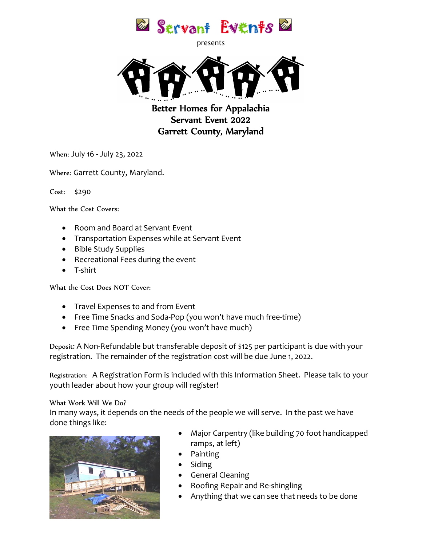

presents



Better Homes for Appalachia Servant Event 2022 Garrett County, Maryland

When: July 16 - July 23, 2022

Where: Garrett County, Maryland.

Cost: \$290

What the Cost Covers:

- Room and Board at Servant Event
- Transportation Expenses while at Servant Event
- Bible Study Supplies
- Recreational Fees during the event
- T-shirt

What the Cost Does NOT Cover:

- Travel Expenses to and from Event
- Free Time Snacks and Soda-Pop (you won't have much free-time)
- Free Time Spending Money (you won't have much)

Deposit: A Non-Refundable but transferable deposit of \$125 per participant is due with your registration. The remainder of the registration cost will be due June 1, 2022.

Registration: A Registration Form is included with this Information Sheet. Please talk to your youth leader about how your group will register!

What Work Will We Do?

In many ways, it depends on the needs of the people we will serve. In the past we have done things like:



- Major Carpentry (like building 70 foot handicapped ramps, at left)
- Painting
- Siding
- General Cleaning
- Roofing Repair and Re-shingling
- Anything that we can see that needs to be done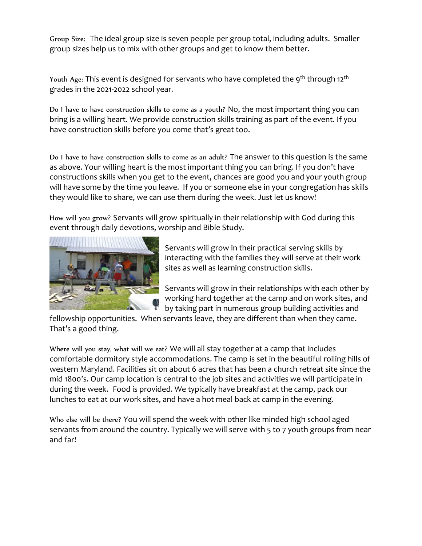Group Size: The ideal group size is seven people per group total, including adults. Smaller group sizes help us to mix with other groups and get to know them better.

Youth Age: This event is designed for servants who have completed the 9<sup>th</sup> through 12<sup>th</sup> grades in the 2021-2022 school year.

Do I have to have construction skills to come as a youth? No, the most important thing you can bring is a willing heart. We provide construction skills training as part of the event. If you have construction skills before you come that's great too.

Do I have to have construction skills to come as an adult? The answer to this question is the same as above. Your willing heart is the most important thing you can bring. If you don't have constructions skills when you get to the event, chances are good you and your youth group will have some by the time you leave. If you or someone else in your congregation has skills they would like to share, we can use them during the week. Just let us know!

How will you grow? Servants will grow spiritually in their relationship with God during this event through daily devotions, worship and Bible Study.



Servants will grow in their practical serving skills by interacting with the families they will serve at their work sites as well as learning construction skills.

Servants will grow in their relationships with each other by working hard together at the camp and on work sites, and by taking part in numerous group building activities and

fellowship opportunities. When servants leave, they are different than when they came. That's a good thing.

Where will you stay, what will we eat? We will all stay together at a camp that includes comfortable dormitory style accommodations. The camp is set in the beautiful rolling hills of western Maryland. Facilities sit on about 6 acres that has been a church retreat site since the mid 1800's. Our camp location is central to the job sites and activities we will participate in during the week. Food is provided. We typically have breakfast at the camp, pack our lunches to eat at our work sites, and have a hot meal back at camp in the evening.

Who else will be there? You will spend the week with other like minded high school aged servants from around the country. Typically we will serve with 5 to 7 youth groups from near and far!